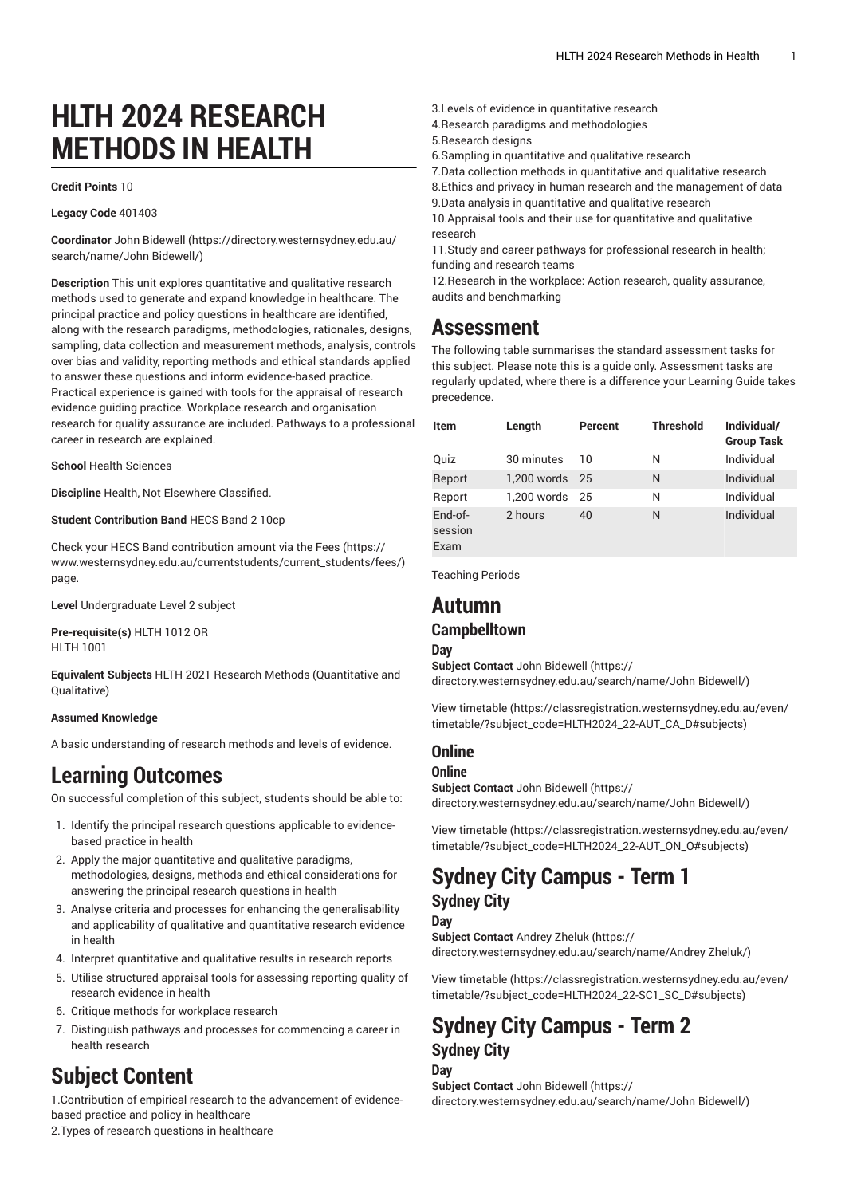# **HLTH 2024 RESEARCH METHODS IN HEALTH**

#### **Credit Points** 10

**Legacy Code** 401403

**Coordinator** [John Bidewell \(https://directory.westernsydney.edu.au/](https://directory.westernsydney.edu.au/search/name/John Bidewell/) [search/name/John](https://directory.westernsydney.edu.au/search/name/John Bidewell/) Bidewell/)

**Description** This unit explores quantitative and qualitative research methods used to generate and expand knowledge in healthcare. The principal practice and policy questions in healthcare are identified, along with the research paradigms, methodologies, rationales, designs, sampling, data collection and measurement methods, analysis, controls over bias and validity, reporting methods and ethical standards applied to answer these questions and inform evidence-based practice. Practical experience is gained with tools for the appraisal of research evidence guiding practice. Workplace research and organisation research for quality assurance are included. Pathways to a professional career in research are explained.

### **School** Health Sciences

**Discipline** Health, Not Elsewhere Classified.

### **Student Contribution Band** HECS Band 2 10cp

Check your HECS Band contribution amount via the [Fees \(https://](https://www.westernsydney.edu.au/currentstudents/current_students/fees/) [www.westernsydney.edu.au/currentstudents/current\\_students/fees/\)](https://www.westernsydney.edu.au/currentstudents/current_students/fees/) page.

**Level** Undergraduate Level 2 subject

**Pre-requisite(s)** [HLTH](/search/?P=HLTH%201012) 1012 OR [HLTH](/search/?P=HLTH%201001) 1001

**Equivalent Subjects** [HLTH](/search/?P=HLTH%202021) 2021 Research Methods (Quantitative and Qualitative)

#### **Assumed Knowledge**

A basic understanding of research methods and levels of evidence.

# **Learning Outcomes**

On successful completion of this subject, students should be able to:

- 1. Identify the principal research questions applicable to evidencebased practice in health
- 2. Apply the major quantitative and qualitative paradigms, methodologies, designs, methods and ethical considerations for answering the principal research questions in health
- 3. Analyse criteria and processes for enhancing the generalisability and applicability of qualitative and quantitative research evidence in health
- 4. Interpret quantitative and qualitative results in research reports
- 5. Utilise structured appraisal tools for assessing reporting quality of research evidence in health
- 6. Critique methods for workplace research
- 7. Distinguish pathways and processes for commencing a career in health research

# **Subject Content**

1.Contribution of empirical research to the advancement of evidencebased practice and policy in healthcare

2.Types of research questions in healthcare

- 3.Levels of evidence in quantitative research
- 4.Research paradigms and methodologies
- 5.Research designs
- 6.Sampling in quantitative and qualitative research
- 7.Data collection methods in quantitative and qualitative research
- 8.Ethics and privacy in human research and the management of data

9.Data analysis in quantitative and qualitative research

10.Appraisal tools and their use for quantitative and qualitative research

11.Study and career pathways for professional research in health; funding and research teams

12.Research in the workplace: Action research, quality assurance, audits and benchmarking

## **Assessment**

The following table summarises the standard assessment tasks for this subject. Please note this is a guide only. Assessment tasks are regularly updated, where there is a difference your Learning Guide takes precedence.

| Item                         | Length         | Percent | <b>Threshold</b> | Individual/<br><b>Group Task</b> |
|------------------------------|----------------|---------|------------------|----------------------------------|
| Quiz                         | 30 minutes     | 10      | N                | Individual                       |
| Report                       | 1,200 words 25 |         | N                | Individual                       |
| Report                       | 1.200 words    | 25      | N                | Individual                       |
| $End-of-$<br>session<br>Exam | 2 hours        | 40      | N                | Individual                       |

Teaching Periods

# **Autumn**

## **Campbelltown**

**Day**

**Subject Contact** [John Bidewell](https://directory.westernsydney.edu.au/search/name/John Bidewell/) ([https://](https://directory.westernsydney.edu.au/search/name/John Bidewell/) [directory.westernsydney.edu.au/search/name/John](https://directory.westernsydney.edu.au/search/name/John Bidewell/) Bidewell/)

[View timetable](https://classregistration.westernsydney.edu.au/even/timetable/?subject_code=HLTH2024_22-AUT_CA_D#subjects) [\(https://classregistration.westernsydney.edu.au/even/](https://classregistration.westernsydney.edu.au/even/timetable/?subject_code=HLTH2024_22-AUT_CA_D#subjects) [timetable/?subject\\_code=HLTH2024\\_22-AUT\\_CA\\_D#subjects\)](https://classregistration.westernsydney.edu.au/even/timetable/?subject_code=HLTH2024_22-AUT_CA_D#subjects)

## **Online**

### **Online**

**Subject Contact** [John Bidewell](https://directory.westernsydney.edu.au/search/name/John Bidewell/) ([https://](https://directory.westernsydney.edu.au/search/name/John Bidewell/) [directory.westernsydney.edu.au/search/name/John](https://directory.westernsydney.edu.au/search/name/John Bidewell/) Bidewell/)

[View timetable](https://classregistration.westernsydney.edu.au/even/timetable/?subject_code=HLTH2024_22-AUT_ON_O#subjects) [\(https://classregistration.westernsydney.edu.au/even/](https://classregistration.westernsydney.edu.au/even/timetable/?subject_code=HLTH2024_22-AUT_ON_O#subjects) [timetable/?subject\\_code=HLTH2024\\_22-AUT\\_ON\\_O#subjects\)](https://classregistration.westernsydney.edu.au/even/timetable/?subject_code=HLTH2024_22-AUT_ON_O#subjects)

# **Sydney City Campus - Term 1 Sydney City**

## **Day**

**Subject Contact** [Andrey](https://directory.westernsydney.edu.au/search/name/Andrey Zheluk/) Zheluk ([https://](https://directory.westernsydney.edu.au/search/name/Andrey Zheluk/) [directory.westernsydney.edu.au/search/name/Andrey](https://directory.westernsydney.edu.au/search/name/Andrey Zheluk/) Zheluk/)

[View timetable](https://classregistration.westernsydney.edu.au/even/timetable/?subject_code=HLTH2024_22-SC1_SC_D#subjects) [\(https://classregistration.westernsydney.edu.au/even/](https://classregistration.westernsydney.edu.au/even/timetable/?subject_code=HLTH2024_22-SC1_SC_D#subjects) [timetable/?subject\\_code=HLTH2024\\_22-SC1\\_SC\\_D#subjects\)](https://classregistration.westernsydney.edu.au/even/timetable/?subject_code=HLTH2024_22-SC1_SC_D#subjects)

## **Sydney City Campus - Term 2 Sydney City Day**

**Subject Contact** [John Bidewell](https://directory.westernsydney.edu.au/search/name/John Bidewell/) ([https://](https://directory.westernsydney.edu.au/search/name/John Bidewell/) [directory.westernsydney.edu.au/search/name/John](https://directory.westernsydney.edu.au/search/name/John Bidewell/) Bidewell/)